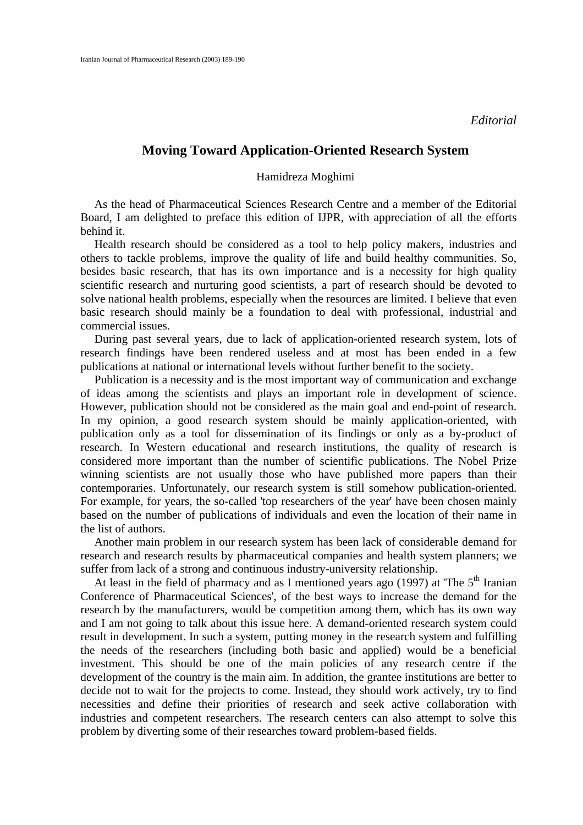## **Moving Toward Application-Oriented Research System**

## Hamidreza Moghimi

As the head of Pharmaceutical Sciences Research Centre and a member of the Editorial Board, I am delighted to preface this edition of IJPR, with appreciation of all the efforts behind it.

Health research should be considered as a tool to help policy makers, industries and others to tackle problems, improve the quality of life and build healthy communities. So, besides basic research, that has its own importance and is a necessity for high quality scientific research and nurturing good scientists, a part of research should be devoted to solve national health problems, especially when the resources are limited. I believe that even basic research should mainly be a foundation to deal with professional, industrial and commercial issues.

During past several years, due to lack of application-oriented research system, lots of research findings have been rendered useless and at most has been ended in a few publications at national or international levels without further benefit to the society.

Publication is a necessity and is the most important way of communication and exchange of ideas among the scientists and plays an important role in development of science. However, publication should not be considered as the main goal and end-point of research. In my opinion, a good research system should be mainly application-oriented, with publication only as a tool for dissemination of its findings or only as a by-product of research. In Western educational and research institutions, the quality of research is considered more important than the number of scientific publications. The Nobel Prize winning scientists are not usually those who have published more papers than their contemporaries. Unfortunately, our research system is still somehow publication-oriented. For example, for years, the so-called 'top researchers of the year' have been chosen mainly based on the number of publications of individuals and even the location of their name in the list of authors.

Another main problem in our research system has been lack of considerable demand for research and research results by pharmaceutical companies and health system planners; we suffer from lack of a strong and continuous industry-university relationship.

At least in the field of pharmacy and as I mentioned years ago (1997) at 'The  $5<sup>th</sup>$  Iranian Conference of Pharmaceutical Sciences', of the best ways to increase the demand for the research by the manufacturers, would be competition among them, which has its own way and I am not going to talk about this issue here. A demand-oriented research system could result in development. In such a system, putting money in the research system and fulfilling the needs of the researchers (including both basic and applied) would be a beneficial investment. This should be one of the main policies of any research centre if the development of the country is the main aim. In addition, the grantee institutions are better to decide not to wait for the projects to come. Instead, they should work actively, try to find necessities and define their priorities of research and seek active collaboration with industries and competent researchers. The research centers can also attempt to solve this problem by diverting some of their researches toward problem-based fields.